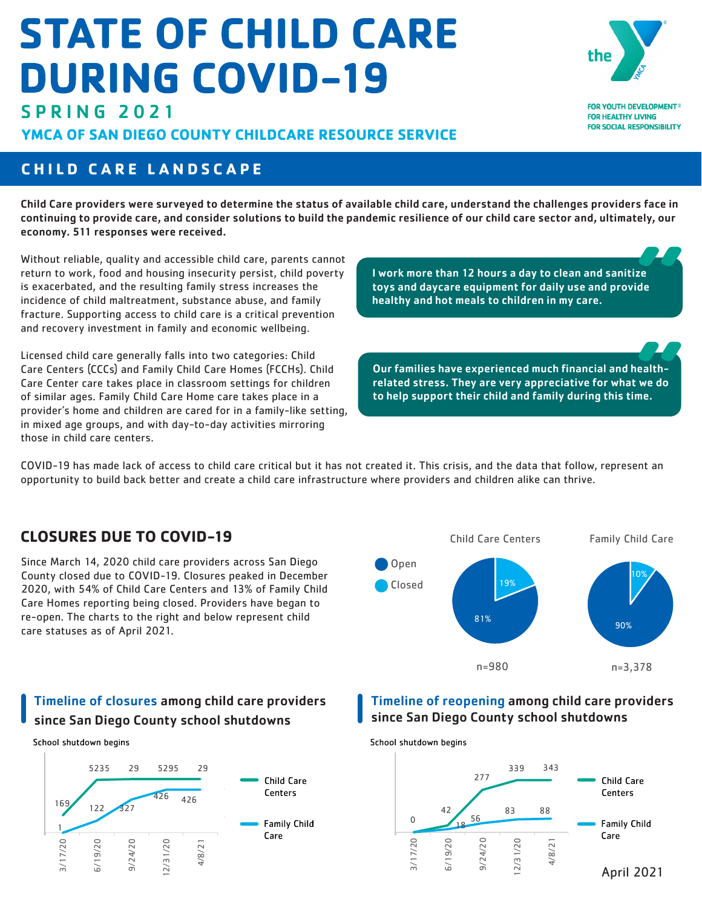# **STATE OF CHILD CARE DURING COVID-19**



**FOR YOUTH DEVELOPMENT® FOR HEALTHY LIVING FOR SOCIAL RESPONSIBILITY** 

# SPRING 2021

YMCA OF SAN DIEGO COUNTY CHILDCARE RESOURCE SERVICE

# **CHILD CARE LANDSCAPE**

Child Care providers were surveyed to determine the status of available child care, understand the challenges providers face in continuing to provide care, and consider solutions to build the pandemic resilience of our child care sector and, ultimately, our economy. 511 responses were received.

Without reliable, quality and accessible child care, parents cannot return to work, food and housing insecurity persist, child poverty is exacerbated, and the resulting family stress increases the incidence of child maltreatment, substance abuse, and family fracture. Supporting access to child care is a critical prevention and recovery investment in family and economic wellbeing.

Licensed child care generally falls into two categories: Child Care Centers (CCCs) and Family Child Care Homes (FCCHs). Child Care Center care takes place in classroom settings for children of similar ages. Family Child Care Home care takes place in a provider's home and children are cared for in a family-like setting, in mixed age groups, and with day-to-day activities mirroring those in child care centers.

I work more than 12 hours a day to clean and sanitize toys and daycare equipment for daily use and provide healthy and hot meals to children in my care.

Our families have experienced much financial and healthrelated stress. They are very appreciative for what we do to help support their child and family during this time.

COVID-19 has made lack of access to child care critical but it has not created it. This crisis, and the data that follow, represent an opportunity to build back better and create a child care infrastructure where providers and children alike can thrive.

# **CLOSURES DUE TO COVID-19**

Since March 14, 2020 child care providers across San Diego County closed due to COVID-19. Closures peaked in December 2020, with 54% of Child Care Centers and 13% of Family Child Care Homes reporting being closed. Providers have began to re-open. The charts to the right and below represent child care statuses as of April 2021.



# Timeline of closures among child care providers since San Diego County school shutdowns

School shutdown begins



Timeline of reopening among child care providers since San Diego County school shutdowns

School shutdown begins

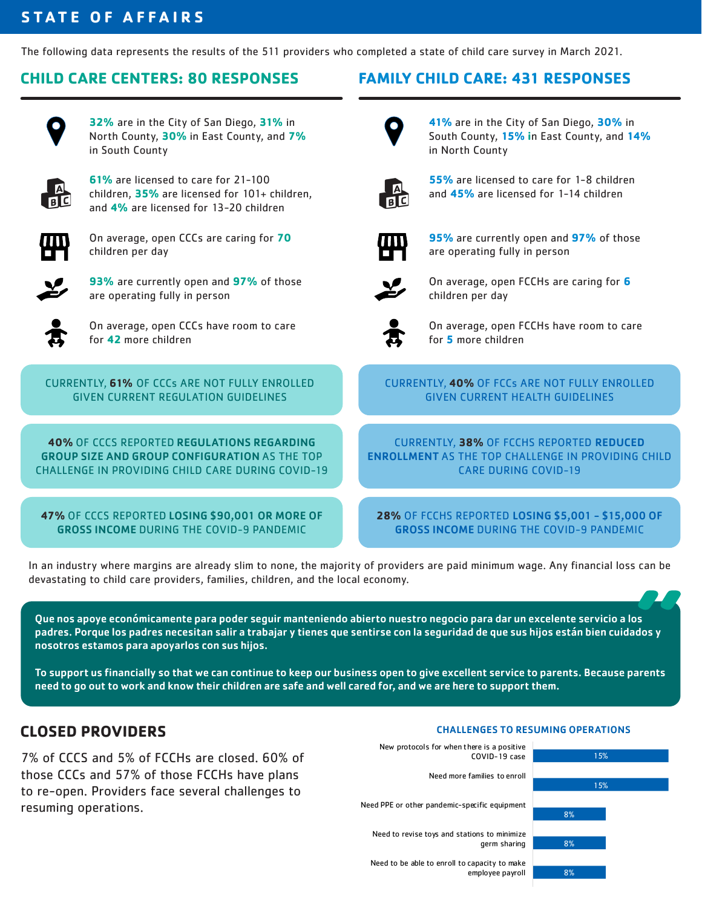# **STATE OF AFFAIRS**

The following data represents the results of the 511 providers who completed a state of child care survey in March 2021.

#### **CHILD CARE CENTERS: 80 RESPONSES FAMILY CHILD CARE: 431 RESPONSES**



**32%** are in the City of San Diego, **31%** in North County, **30%** in East County, and **7%** in South County



**61%** are licensed to care for 21-100 children, **35%** are licensed for 101+ children, and **4%** are licensed for 13-20 children



On average, open CCCs are caring for **70**  children per day



**93%** are currently open and **97%** of those are operating fully in person



On average, open CCCs have room to care for **42** more children

CURRENTLY, **61%** OF CCCs ARE NOT FULLY ENROLLED GIVEN CURRENT REGULATION GUIDELINES

**40%** OF CCCS REPORTED REGULATIONS REGARDING GROUP SIZE AND GROUP CONFIGURATION AS THE TOP CHALLENGE IN PROVIDING CHILD CARE DURING COVID-19

**47%** OF CCCS REPORTED LOSING \$90,001 OR MORE OF GROSS INCOME DURING THE COVID-9 PANDEMIC



**41%** are in the City of San Diego, **30%** in South County, **15% i**n East County, and **14%** in North County



**55%** are licensed to care for 1-8 children and **45%** are licensed for 1-14 children



**95%** are currently open and **97%** of those are operating fully in person



On average, open FCCHs are caring for **6**  children per day



On average, open FCCHs have room to care for **5** more children

#### CURRENTLY, **40%** OF FCCs ARE NOT FULLY ENROLLED GIVEN CURRENT HEALTH GUIDELINES

CURRENTLY, **38%** OF FCCHS REPORTED REDUCED ENROLLMENT AS THE TOP CHALLENGE IN PROVIDING CHILD CARE DURING COVID-19

**28%** OF FCCHS REPORTED LOSING \$5,001 - \$15,000 OF GROSS INCOME DURING THE COVID-9 PANDEMIC

In an industry where margins are already slim to none, the majority of providers are paid minimum wage. Any financial loss can be devastating to child care providers, families, children, and the local economy.

Que nos apoye económicamente para poder seguir manteniendo abierto nuestro negocio para dar un excelente servicio a los padres. Porque los padres necesitan salir a trabajar y tienes que sentirse con la seguridad de que sus hijos están bien cuidados y nosotros estamos para apoyarlos con sus hijos.

To support us financially so that we can continue to keep our business open to give excellent service to parents. Because parents need to go out to work and know their children are safe and well cared for, and we are here to support them.

# **CLOSED PROVIDERS**

7% of CCCS and 5% of FCCHs are closed. 60% of those CCCs and 57% of those FCCHs have plans to re-open. Providers face several challenges to resuming operations.

#### CHALLENGES TO RESUMING OPERATIONS



employee payroll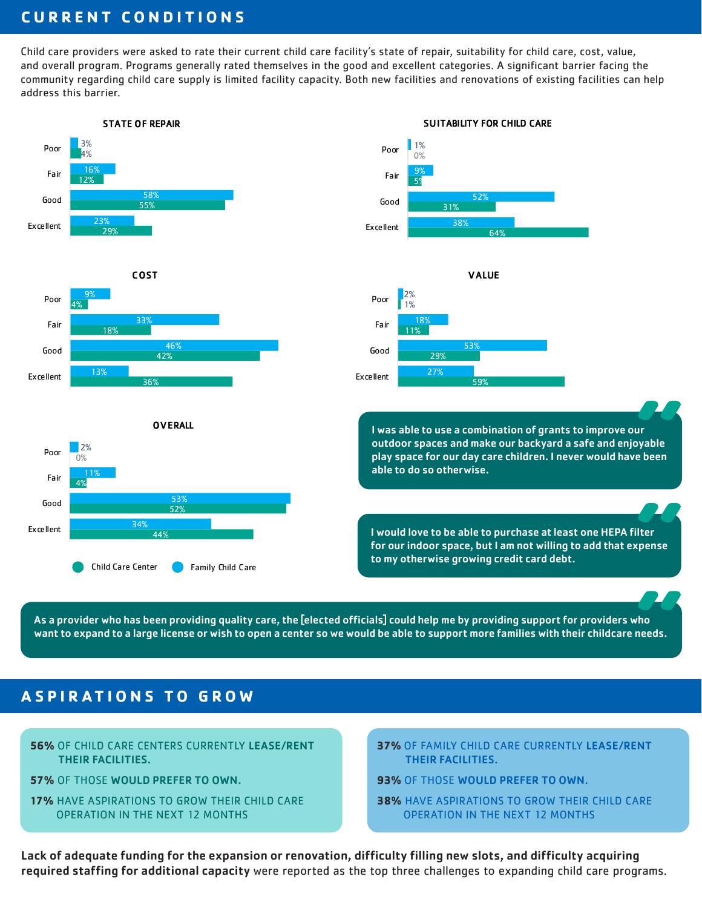# **CURRENT CONDITIONS**

Child care providers were asked to rate their current child care facility's state of repair, suitability for child care, cost, value, and overall program. Programs generally rated themselves in the good and excellent categories. A significant barrier facing the community regarding child care supply is limited facility capacity. Both new facilities and renovations of existing facilities can help address this barrier.



As a provider who has been providing quality care, the [elected officials] could help me by providing support for providers who want to expand to a large license or wish to open a center so we would be able to support more families with their childcare needs.

# **ASPIRATIONS TO GROW**

- **56%** OF CHILD CARE CENTERS CURRENTLY LEASE/RENT THEIR FACILITIES.
- **57%** OF THOSE WOULD PREFER TO OWN.
- **17%** HAVE ASPIRATIONS TO GROW THEIR CHILD CARE OPERATION IN THE NEXT 12 MONTHS
- **37%** OF FAMILY CHILD CARE CURRENTLY LEASE/RENT THEIR FACILITIES.
- **93%** OF THOSE WOULD PREFER TO OWN.
- **38%** HAVE ASPIRATIONS TO GROW THEIR CHILD CARE OPERATION IN THE NEXT 12 MONTHS

Lack of adequate funding for the expansion or renovation, difficulty filling new slots, and difficulty acquiring required staffing for additional capacity were reported as the top three challenges to expanding child care programs.